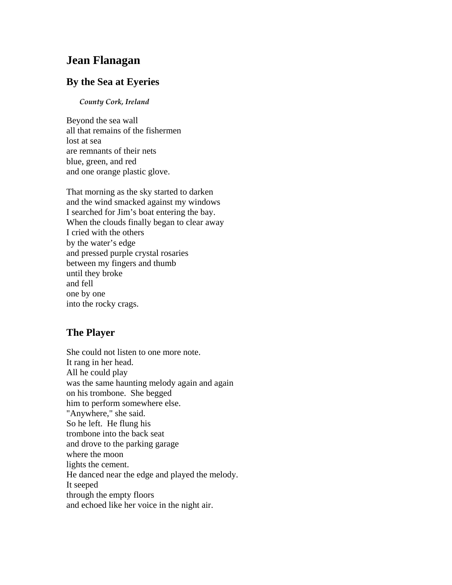# **Jean Flanagan**

### **By the Sea at Eyeries**

#### *County Cork, Ireland*

Beyond the sea wall all that remains of the fishermen lost at sea are remnants of their nets blue, green, and red and one orange plastic glove.

That morning as the sky started to darken and the wind smacked against my windows I searched for Jim's boat entering the bay. When the clouds finally began to clear away I cried with the others by the water's edge and pressed purple crystal rosaries between my fingers and thumb until they broke and fell one by one into the rocky crags.

### **The Player**

She could not listen to one more note. It rang in her head. All he could play was the same haunting melody again and again on his trombone. She begged him to perform somewhere else. "Anywhere," she said. So he left. He flung his trombone into the back seat and drove to the parking garage where the moon lights the cement. He danced near the edge and played the melody. It seeped through the empty floors and echoed like her voice in the night air.